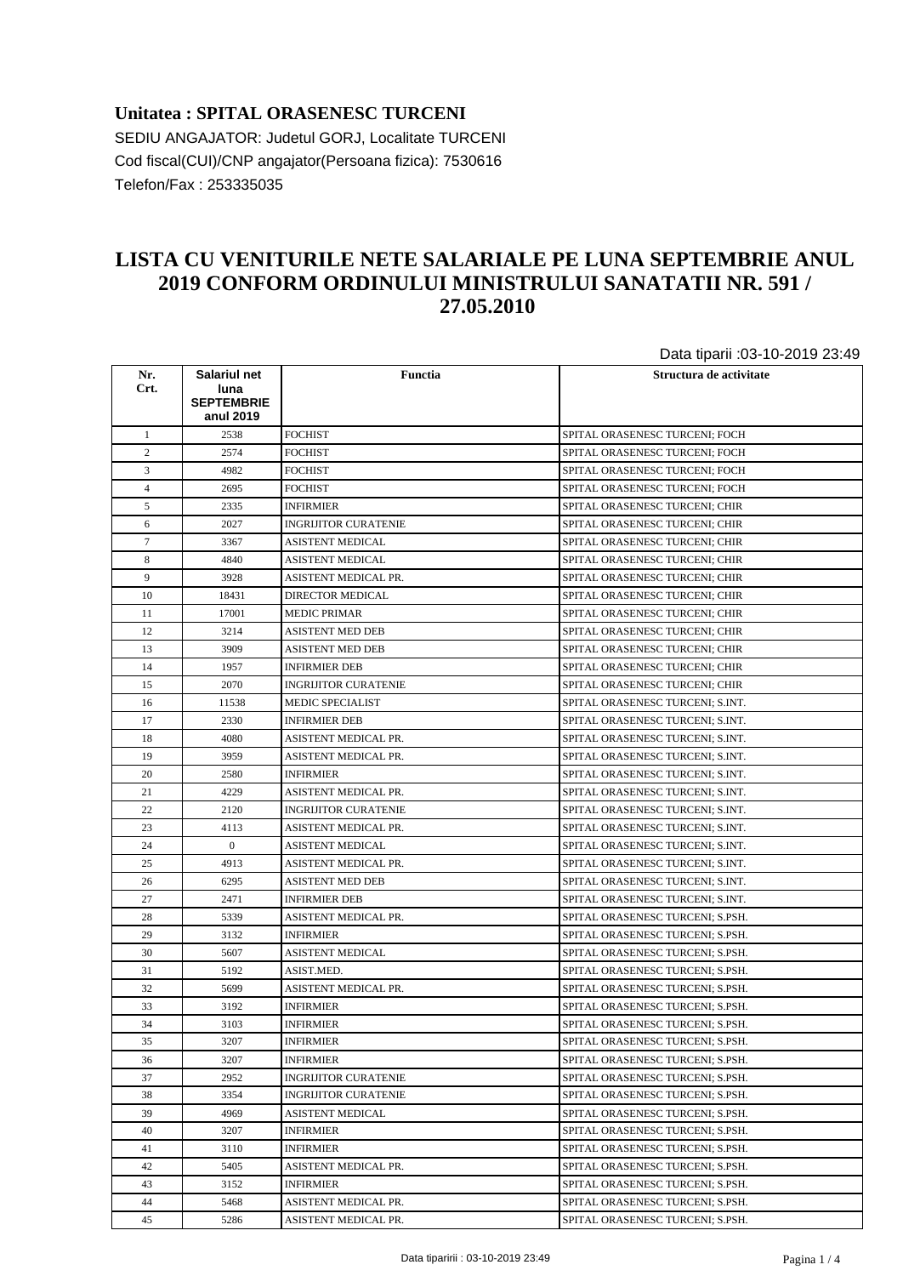## **Unitatea : SPITAL ORASENESC TURCENI** SEDIU ANGAJATOR: Judetul GORJ, Localitate TURCENI Cod fiscal(CUI)/CNP angajator(Persoana fizica): 7530616 Telefon/Fax : 253335035

## **LISTA CU VENITURILE NETE SALARIALE PE LUNA SEPTEMBRIE ANUL 2019 CONFORM ORDINULUI MINISTRULUI SANATATII NR. 591 / 27.05.2010**

Data tiparii :03-10-2019 23:49

|                |                                           |                             | <b>Data tiparii :00 TO 20TO 20. TO</b> |
|----------------|-------------------------------------------|-----------------------------|----------------------------------------|
| Nr.<br>Crt.    | Salariul net<br>luna<br><b>SEPTEMBRIE</b> | Functia                     | Structura de activitate                |
|                | anul 2019                                 |                             |                                        |
| $\mathbf{1}$   | 2538                                      | <b>FOCHIST</b>              | SPITAL ORASENESC TURCENI; FOCH         |
| $\overline{c}$ | 2574                                      | <b>FOCHIST</b>              | SPITAL ORASENESC TURCENI; FOCH         |
| 3              | 4982                                      | FOCHIST                     | SPITAL ORASENESC TURCENI; FOCH         |
| 4              | 2695                                      | FOCHIST                     | SPITAL ORASENESC TURCENI: FOCH         |
| 5              | 2335                                      | INFIRMIER                   | SPITAL ORASENESC TURCENI; CHIR         |
| 6              | 2027                                      | INGRIJITOR CURATENIE        | SPITAL ORASENESC TURCENI; CHIR         |
| $\tau$         | 3367                                      | ASISTENT MEDICAL            | SPITAL ORASENESC TURCENI; CHIR         |
| 8              | 4840                                      | ASISTENT MEDICAL            | SPITAL ORASENESC TURCENI; CHIR         |
| 9              | 3928                                      | ASISTENT MEDICAL PR.        | SPITAL ORASENESC TURCENI; CHIR         |
| 10             | 18431                                     | DIRECTOR MEDICAL            | SPITAL ORASENESC TURCENI; CHIR         |
| 11             | 17001                                     | MEDIC PRIMAR                | SPITAL ORASENESC TURCENI; CHIR         |
| 12             | 3214                                      | ASISTENT MED DEB            | SPITAL ORASENESC TURCENI; CHIR         |
| 13             | 3909                                      | ASISTENT MED DEB            | SPITAL ORASENESC TURCENI; CHIR         |
| 14             | 1957                                      | INFIRMIER DEB               | SPITAL ORASENESC TURCENI; CHIR         |
| 15             | 2070                                      | <b>INGRIJITOR CURATENIE</b> | SPITAL ORASENESC TURCENI; CHIR         |
| 16             | 11538                                     | MEDIC SPECIALIST            | SPITAL ORASENESC TURCENI; S.INT.       |
| 17             | 2330                                      | <b>INFIRMIER DEB</b>        | SPITAL ORASENESC TURCENI; S.INT.       |
| 18             | 4080                                      | ASISTENT MEDICAL PR.        | SPITAL ORASENESC TURCENI; S.INT.       |
| 19             | 3959                                      | ASISTENT MEDICAL PR.        | SPITAL ORASENESC TURCENI; S.INT.       |
| 20             | 2580                                      | INFIRMIER                   | SPITAL ORASENESC TURCENI; S.INT.       |
| 21             | 4229                                      | ASISTENT MEDICAL PR.        | SPITAL ORASENESC TURCENI; S.INT.       |
| 22             | 2120                                      | INGRIJITOR CURATENIE        | SPITAL ORASENESC TURCENI; S.INT.       |
| 23             | 4113                                      | ASISTENT MEDICAL PR.        | SPITAL ORASENESC TURCENI; S.INT.       |
| 24             | $\overline{0}$                            | ASISTENT MEDICAL            | SPITAL ORASENESC TURCENI; S.INT.       |
| 25             | 4913                                      | ASISTENT MEDICAL PR.        | SPITAL ORASENESC TURCENI; S.INT.       |
| 26             | 6295                                      | <b>ASISTENT MED DEB</b>     | SPITAL ORASENESC TURCENI; S.INT.       |
| 27             | 2471                                      | <b>INFIRMIER DEB</b>        | SPITAL ORASENESC TURCENI; S.INT.       |
| 28             | 5339                                      | ASISTENT MEDICAL PR.        | SPITAL ORASENESC TURCENI; S.PSH.       |
| 29             | 3132                                      | INFIRMIER                   | SPITAL ORASENESC TURCENI; S.PSH.       |
| 30             | 5607                                      | <b>ASISTENT MEDICAL</b>     | SPITAL ORASENESC TURCENI; S.PSH.       |
| 31             | 5192                                      | ASIST.MED.                  | SPITAL ORASENESC TURCENI; S.PSH.       |
| 32             | 5699                                      | ASISTENT MEDICAL PR.        | SPITAL ORASENESC TURCENI; S.PSH.       |
| 33             | 3192                                      | <b>INFIRMIER</b>            | SPITAL ORASENESC TURCENI; S.PSH.       |
| 34             | 3103                                      | INFIRMIER                   | SPITAL ORASENESC TURCENI; S.PSH.       |
| 35             | 3207                                      | INFIRMIER                   | SPITAL ORASENESC TURCENI; S.PSH.       |
| 36             | 3207                                      | INFIRMIER                   | SPITAL ORASENESC TURCENI; S.PSH.       |
| 37             | 2952                                      | <b>INGRIJITOR CURATENIE</b> | SPITAL ORASENESC TURCENI; S.PSH.       |
| 38             | 3354                                      | INGRIJITOR CURATENIE        | SPITAL ORASENESC TURCENI; S.PSH.       |
| 39             | 4969                                      | ASISTENT MEDICAL            | SPITAL ORASENESC TURCENI; S.PSH.       |
| 40             | 3207                                      | <b>INFIRMIER</b>            | SPITAL ORASENESC TURCENI; S.PSH.       |
| 41             | 3110                                      | <b>INFIRMIER</b>            | SPITAL ORASENESC TURCENI; S.PSH.       |
| 42             | 5405                                      | ASISTENT MEDICAL PR.        | SPITAL ORASENESC TURCENI; S.PSH.       |
| 43             | 3152                                      | INFIRMIER                   | SPITAL ORASENESC TURCENI; S.PSH.       |
| 44             | 5468                                      | ASISTENT MEDICAL PR.        | SPITAL ORASENESC TURCENI; S.PSH.       |
| 45             | 5286                                      | ASISTENT MEDICAL PR.        | SPITAL ORASENESC TURCENI; S.PSH.       |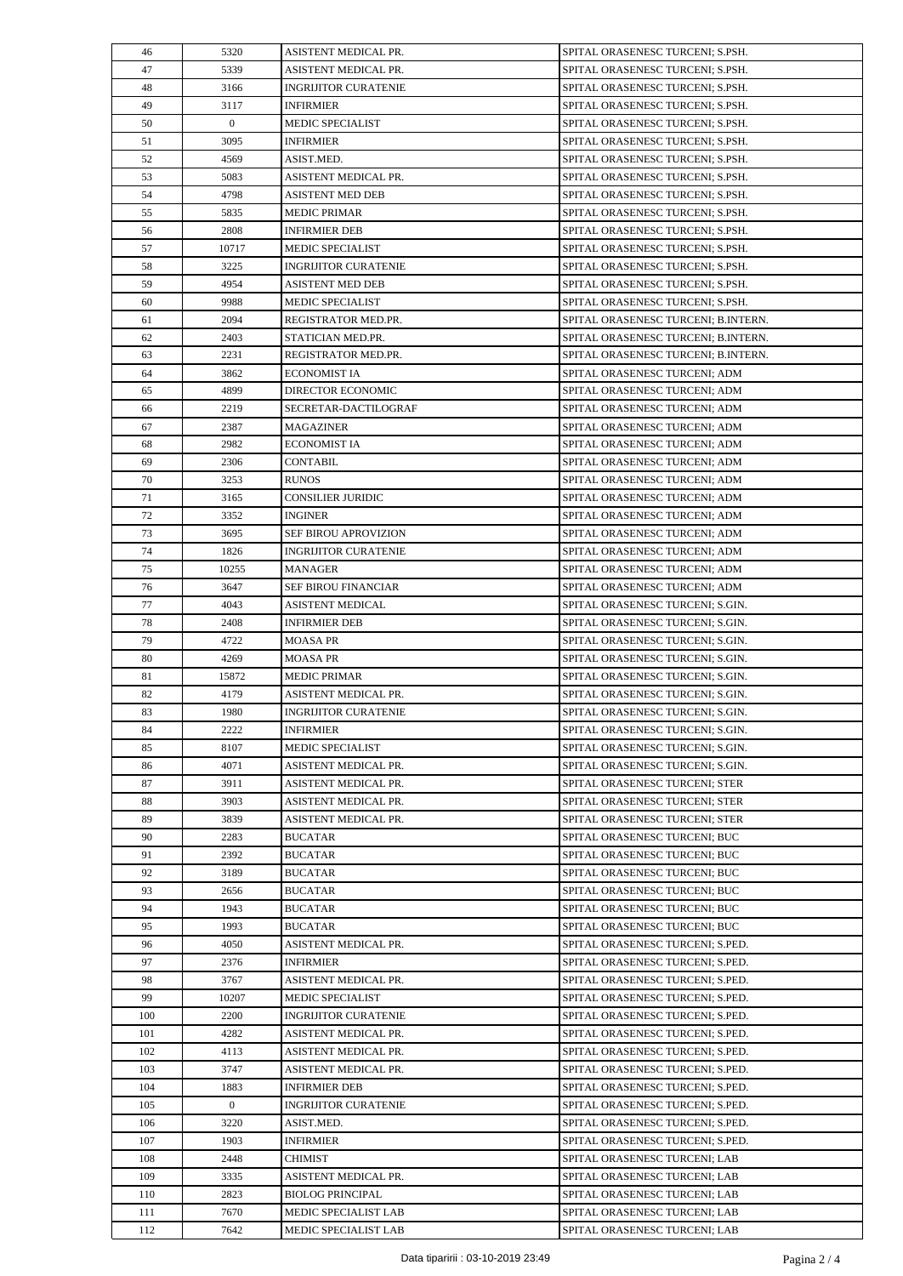| 46  | 5320           | ASISTENT MEDICAL PR.        | SPITAL ORASENESC TURCENI; S.PSH.    |
|-----|----------------|-----------------------------|-------------------------------------|
| 47  | 5339           | ASISTENT MEDICAL PR.        | SPITAL ORASENESC TURCENI; S.PSH.    |
| 48  | 3166           | <b>INGRIJITOR CURATENIE</b> | SPITAL ORASENESC TURCENI; S.PSH.    |
| 49  | 3117           | <b>INFIRMIER</b>            | SPITAL ORASENESC TURCENI; S.PSH.    |
| 50  | $\overline{0}$ | <b>MEDIC SPECIALIST</b>     | SPITAL ORASENESC TURCENI; S.PSH.    |
| 51  | 3095           | <b>INFIRMIER</b>            | SPITAL ORASENESC TURCENI; S.PSH.    |
| 52  | 4569           | ASIST.MED.                  | SPITAL ORASENESC TURCENI; S.PSH.    |
| 53  | 5083           | ASISTENT MEDICAL PR.        | SPITAL ORASENESC TURCENI; S.PSH.    |
| 54  | 4798           | <b>ASISTENT MED DEB</b>     | SPITAL ORASENESC TURCENI; S.PSH.    |
| 55  | 5835           | <b>MEDIC PRIMAR</b>         | SPITAL ORASENESC TURCENI; S.PSH.    |
| 56  | 2808           | <b>INFIRMIER DEB</b>        | SPITAL ORASENESC TURCENI; S.PSH.    |
| 57  | 10717          | MEDIC SPECIALIST            | SPITAL ORASENESC TURCENI; S.PSH.    |
| 58  | 3225           | <b>INGRIJITOR CURATENIE</b> | SPITAL ORASENESC TURCENI; S.PSH.    |
| 59  | 4954           | ASISTENT MED DEB            | SPITAL ORASENESC TURCENI; S.PSH.    |
| 60  | 9988           | MEDIC SPECIALIST            | SPITAL ORASENESC TURCENI; S.PSH.    |
| 61  | 2094           | REGISTRATOR MED.PR.         | SPITAL ORASENESC TURCENI; B.INTERN. |
| 62  | 2403           | STATICIAN MED.PR.           | SPITAL ORASENESC TURCENI; B.INTERN. |
| 63  | 2231           | REGISTRATOR MED.PR.         | SPITAL ORASENESC TURCENI; B.INTERN. |
| 64  | 3862           | <b>ECONOMIST IA</b>         | SPITAL ORASENESC TURCENI; ADM       |
| 65  | 4899           | <b>DIRECTOR ECONOMIC</b>    | SPITAL ORASENESC TURCENI; ADM       |
| 66  | 2219           | SECRETAR-DACTILOGRAF        | SPITAL ORASENESC TURCENI; ADM       |
| 67  | 2387           | <b>MAGAZINER</b>            | SPITAL ORASENESC TURCENI; ADM       |
| 68  | 2982           | <b>ECONOMIST IA</b>         | SPITAL ORASENESC TURCENI; ADM       |
| 69  | 2306           | <b>CONTABIL</b>             | SPITAL ORASENESC TURCENI; ADM       |
| 70  | 3253           | <b>RUNOS</b>                | SPITAL ORASENESC TURCENI; ADM       |
| 71  | 3165           | CONSILIER JURIDIC           | SPITAL ORASENESC TURCENI; ADM       |
| 72  | 3352           | <b>INGINER</b>              | SPITAL ORASENESC TURCENI; ADM       |
| 73  | 3695           | SEF BIROU APROVIZION        | SPITAL ORASENESC TURCENI; ADM       |
| 74  | 1826           | <b>INGRIJITOR CURATENIE</b> | SPITAL ORASENESC TURCENI; ADM       |
| 75  | 10255          | MANAGER                     | SPITAL ORASENESC TURCENI; ADM       |
| 76  | 3647           | SEF BIROU FINANCIAR         | SPITAL ORASENESC TURCENI; ADM       |
| 77  | 4043           | <b>ASISTENT MEDICAL</b>     | SPITAL ORASENESC TURCENI; S.GIN.    |
| 78  | 2408           | <b>INFIRMIER DEB</b>        | SPITAL ORASENESC TURCENI; S.GIN.    |
| 79  | 4722           | <b>MOASA PR</b>             | SPITAL ORASENESC TURCENI; S.GIN.    |
| 80  | 4269           | <b>MOASA PR</b>             | SPITAL ORASENESC TURCENI; S.GIN.    |
| 81  | 15872          | <b>MEDIC PRIMAR</b>         | SPITAL ORASENESC TURCENI; S.GIN.    |
| 82  | 4179           | ASISTENT MEDICAL PR.        | SPITAL ORASENESC TURCENI; S.GIN.    |
| 83  | 1980           | <b>INGRIJITOR CURATENIE</b> | SPITAL ORASENESC TURCENI; S.GIN.    |
| 84  | 2222           | <b>INFIRMIER</b>            | SPITAL ORASENESC TURCENI; S.GIN.    |
| 85  | 8107           | <b>MEDIC SPECIALIST</b>     | SPITAL ORASENESC TURCENI; S.GIN.    |
| 86  | 4071           | ASISTENT MEDICAL PR.        | SPITAL ORASENESC TURCENI; S.GIN.    |
| 87  | 3911           | ASISTENT MEDICAL PR.        | SPITAL ORASENESC TURCENI; STER      |
| 88  | 3903           | ASISTENT MEDICAL PR.        | SPITAL ORASENESC TURCENI; STER      |
| 89  | 3839           | ASISTENT MEDICAL PR.        | SPITAL ORASENESC TURCENI; STER      |
| 90  | 2283           | <b>BUCATAR</b>              | SPITAL ORASENESC TURCENI; BUC       |
| 91  | 2392           | <b>BUCATAR</b>              | SPITAL ORASENESC TURCENI; BUC       |
| 92  | 3189           | <b>BUCATAR</b>              | SPITAL ORASENESC TURCENI; BUC       |
| 93  | 2656           | <b>BUCATAR</b>              | SPITAL ORASENESC TURCENI; BUC       |
| 94  | 1943           | <b>BUCATAR</b>              | SPITAL ORASENESC TURCENI; BUC       |
| 95  | 1993           | <b>BUCATAR</b>              | SPITAL ORASENESC TURCENI; BUC       |
| 96  | 4050           | ASISTENT MEDICAL PR.        | SPITAL ORASENESC TURCENI; S.PED.    |
| 97  | 2376           | <b>INFIRMIER</b>            | SPITAL ORASENESC TURCENI; S.PED.    |
| 98  | 3767           | ASISTENT MEDICAL PR.        | SPITAL ORASENESC TURCENI; S.PED.    |
| 99  | 10207          | <b>MEDIC SPECIALIST</b>     | SPITAL ORASENESC TURCENI; S.PED.    |
| 100 | 2200           | <b>INGRIJITOR CURATENIE</b> | SPITAL ORASENESC TURCENI; S.PED.    |
| 101 | 4282           | ASISTENT MEDICAL PR.        | SPITAL ORASENESC TURCENI; S.PED.    |
| 102 | 4113           | ASISTENT MEDICAL PR.        | SPITAL ORASENESC TURCENI; S.PED.    |
| 103 | 3747           | ASISTENT MEDICAL PR.        | SPITAL ORASENESC TURCENI; S.PED.    |
| 104 | 1883           | <b>INFIRMIER DEB</b>        | SPITAL ORASENESC TURCENI; S.PED.    |
| 105 | $\mathbf{0}$   | <b>INGRIJITOR CURATENIE</b> | SPITAL ORASENESC TURCENI; S.PED.    |
| 106 | 3220           | ASIST.MED.                  | SPITAL ORASENESC TURCENI; S.PED.    |
| 107 | 1903           | <b>INFIRMIER</b>            | SPITAL ORASENESC TURCENI; S.PED.    |
| 108 | 2448           | <b>CHIMIST</b>              | SPITAL ORASENESC TURCENI; LAB       |
| 109 | 3335           | ASISTENT MEDICAL PR.        | SPITAL ORASENESC TURCENI; LAB       |
| 110 | 2823           | <b>BIOLOG PRINCIPAL</b>     | SPITAL ORASENESC TURCENI; LAB       |
| 111 | 7670           | MEDIC SPECIALIST LAB        | SPITAL ORASENESC TURCENI; LAB       |
| 112 | 7642           | MEDIC SPECIALIST LAB        | SPITAL ORASENESC TURCENI; LAB       |